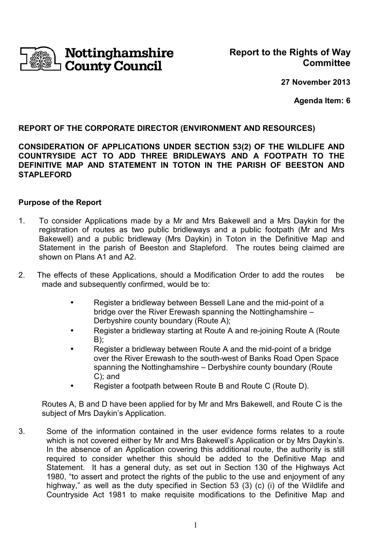

**27 November 2013**

**Agenda Item: 6**

## **REPORT OF THE CORPORATE DIRECTOR (ENVIRONMENT AND RESOURCES)**

**CONSIDERATION OF APPLICATIONS UNDER SECTION 53(2) OF THE WILDLIFE AND COUNTRYSIDE ACT TO ADD THREE BRIDLEWAYS AND A FOOTPATH TO THE DEFINITIVE MAP AND STATEMENT IN TOTON IN THE PARISH OF BEESTON AND STAPLEFORD** 

#### **Purpose of the Report**

- 1. To consider Applications made by a Mr and Mrs Bakewell and a Mrs Daykin for the registration of routes as two public bridleways and a public footpath (Mr and Mrs Bakewell) and a public bridleway (Mrs Daykin) in Toton in the Definitive Map and Statement in the parish of Beeston and Stapleford. The routes being claimed are shown on Plans A<sub>1</sub> and A<sub>2</sub>.
- 2. The effects of these Applications, should a Modification Order to add the routes be made and subsequently confirmed, would be to:
	- Register a bridleway between Bessell Lane and the mid-point of a bridge over the River Erewash spanning the Nottinghamshire – Derbyshire county boundary (Route A);
	- Register a bridleway starting at Route A and re-joining Route A (Route B);
	- Register a bridleway between Route A and the mid-point of a bridge over the River Erewash to the south-west of Banks Road Open Space spanning the Nottinghamshire – Derbyshire county boundary (Route C); and
	- Register a footpath between Route B and Route C (Route D).

Routes A, B and D have been applied for by Mr and Mrs Bakewell, and Route C is the subject of Mrs Daykin's Application.

3. Some of the information contained in the user evidence forms relates to a route which is not covered either by Mr and Mrs Bakewell's Application or by Mrs Daykin's. In the absence of an Application covering this additional route, the authority is still required to consider whether this should be added to the Definitive Map and Statement. It has a general duty, as set out in Section 130 of the Highways Act 1980, "to assert and protect the rights of the public to the use and enjoyment of any highway," as well as the duty specified in Section 53 (3) (c) (i) of the Wildlife and Countryside Act 1981 to make requisite modifications to the Definitive Map and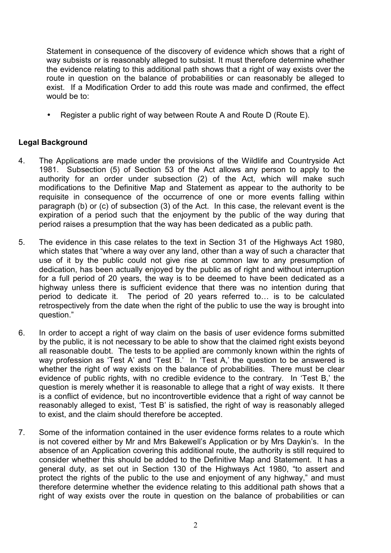Statement in consequence of the discovery of evidence which shows that a right of way subsists or is reasonably alleged to subsist. It must therefore determine whether the evidence relating to this additional path shows that a right of way exists over the route in question on the balance of probabilities or can reasonably be alleged to exist. If a Modification Order to add this route was made and confirmed, the effect would be to:

• Register a public right of way between Route A and Route D (Route E).

# **Legal Background**

- 4. The Applications are made under the provisions of the Wildlife and Countryside Act 1981. Subsection (5) of Section 53 of the Act allows any person to apply to the authority for an order under subsection (2) of the Act, which will make such modifications to the Definitive Map and Statement as appear to the authority to be requisite in consequence of the occurrence of one or more events falling within paragraph (b) or (c) of subsection (3) of the Act. In this case, the relevant event is the expiration of a period such that the enjoyment by the public of the way during that period raises a presumption that the way has been dedicated as a public path.
- 5. The evidence in this case relates to the text in Section 31 of the Highways Act 1980, which states that "where a way over any land, other than a way of such a character that use of it by the public could not give rise at common law to any presumption of dedication, has been actually enjoyed by the public as of right and without interruption for a full period of 20 years, the way is to be deemed to have been dedicated as a highway unless there is sufficient evidence that there was no intention during that period to dedicate it. The period of 20 years referred to... is to be calculated retrospectively from the date when the right of the public to use the way is brought into question."
- 6. In order to accept a right of way claim on the basis of user evidence forms submitted by the public, it is not necessary to be able to show that the claimed right exists beyond all reasonable doubt. The tests to be applied are commonly known within the rights of way profession as 'Test A' and 'Test B.' In 'Test A,' the question to be answered is whether the right of way exists on the balance of probabilities. There must be clear evidence of public rights, with no credible evidence to the contrary. In 'Test B,' the question is merely whether it is reasonable to allege that a right of way exists. It there is a conflict of evidence, but no incontrovertible evidence that a right of way cannot be reasonably alleged to exist, 'Test B' is satisfied, the right of way is reasonably alleged to exist, and the claim should therefore be accepted.
- 7. Some of the information contained in the user evidence forms relates to a route which is not covered either by Mr and Mrs Bakewell's Application or by Mrs Daykin's. In the absence of an Application covering this additional route, the authority is still required to consider whether this should be added to the Definitive Map and Statement. It has a general duty, as set out in Section 130 of the Highways Act 1980, "to assert and protect the rights of the public to the use and enjoyment of any highway," and must therefore determine whether the evidence relating to this additional path shows that a right of way exists over the route in question on the balance of probabilities or can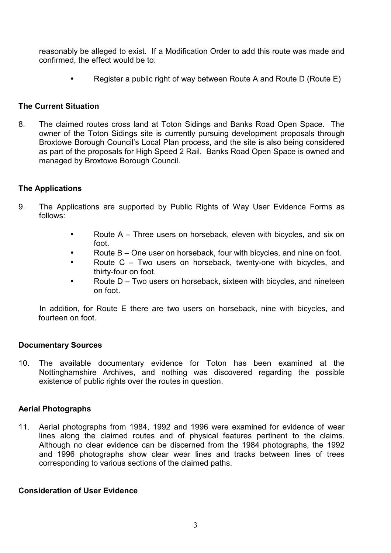reasonably be alleged to exist. If a Modification Order to add this route was made and confirmed, the effect would be to:

• Register a public right of way between Route A and Route D (Route E)

### **The Current Situation**

8. The claimed routes cross land at Toton Sidings and Banks Road Open Space. The owner of the Toton Sidings site is currently pursuing development proposals through Broxtowe Borough Council's Local Plan process, and the site is also being considered as part of the proposals for High Speed 2 Rail. Banks Road Open Space is owned and managed by Broxtowe Borough Council.

### **The Applications**

- 9. The Applications are supported by Public Rights of Way User Evidence Forms as follows:
	- Route A Three users on horseback, eleven with bicycles, and six on foot.
	- Route B One user on horseback, four with bicycles, and nine on foot.
	- Route C Two users on horseback, twenty-one with bicycles, and thirty-four on foot.
	- Route D Two users on horseback, sixteen with bicycles, and nineteen on foot.

 In addition, for Route E there are two users on horseback, nine with bicycles, and fourteen on foot.

### **Documentary Sources**

10. The available documentary evidence for Toton has been examined at the Nottinghamshire Archives, and nothing was discovered regarding the possible existence of public rights over the routes in question.

# **Aerial Photographs**

11. Aerial photographs from 1984, 1992 and 1996 were examined for evidence of wear lines along the claimed routes and of physical features pertinent to the claims. Although no clear evidence can be discerned from the 1984 photographs, the 1992 and 1996 photographs show clear wear lines and tracks between lines of trees corresponding to various sections of the claimed paths.

### **Consideration of User Evidence**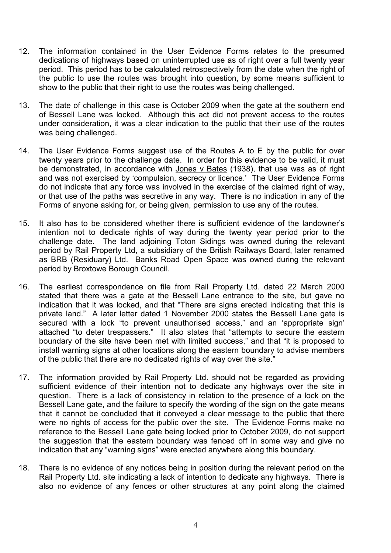- 12. The information contained in the User Evidence Forms relates to the presumed dedications of highways based on uninterrupted use as of right over a full twenty year period. This period has to be calculated retrospectively from the date when the right of the public to use the routes was brought into question, by some means sufficient to show to the public that their right to use the routes was being challenged.
- 13. The date of challenge in this case is October 2009 when the gate at the southern end of Bessell Lane was locked. Although this act did not prevent access to the routes under consideration, it was a clear indication to the public that their use of the routes was being challenged.
- 14. The User Evidence Forms suggest use of the Routes A to E by the public for over twenty years prior to the challenge date. In order for this evidence to be valid, it must be demonstrated, in accordance with Jones v Bates (1938), that use was as of right and was not exercised by 'compulsion, secrecy or licence.' The User Evidence Forms do not indicate that any force was involved in the exercise of the claimed right of way, or that use of the paths was secretive in any way. There is no indication in any of the Forms of anyone asking for, or being given, permission to use any of the routes.
- 15. It also has to be considered whether there is sufficient evidence of the landowner's intention not to dedicate rights of way during the twenty year period prior to the challenge date. The land adjoining Toton Sidings was owned during the relevant period by Rail Property Ltd, a subsidiary of the British Railways Board, later renamed as BRB (Residuary) Ltd. Banks Road Open Space was owned during the relevant period by Broxtowe Borough Council.
- 16. The earliest correspondence on file from Rail Property Ltd. dated 22 March 2000 stated that there was a gate at the Bessell Lane entrance to the site, but gave no indication that it was locked, and that "There are signs erected indicating that this is private land." A later letter dated 1 November 2000 states the Bessell Lane gate is secured with a lock "to prevent unauthorised access," and an 'appropriate sign' attached "to deter trespassers." It also states that "attempts to secure the eastern boundary of the site have been met with limited success," and that "it is proposed to install warning signs at other locations along the eastern boundary to advise members of the public that there are no dedicated rights of way over the site."
- 17. The information provided by Rail Property Ltd. should not be regarded as providing sufficient evidence of their intention not to dedicate any highways over the site in question. There is a lack of consistency in relation to the presence of a lock on the Bessell Lane gate, and the failure to specify the wording of the sign on the gate means that it cannot be concluded that it conveyed a clear message to the public that there were no rights of access for the public over the site. The Evidence Forms make no reference to the Bessell Lane gate being locked prior to October 2009, do not support the suggestion that the eastern boundary was fenced off in some way and give no indication that any "warning signs" were erected anywhere along this boundary.
- 18. There is no evidence of any notices being in position during the relevant period on the Rail Property Ltd. site indicating a lack of intention to dedicate any highways. There is also no evidence of any fences or other structures at any point along the claimed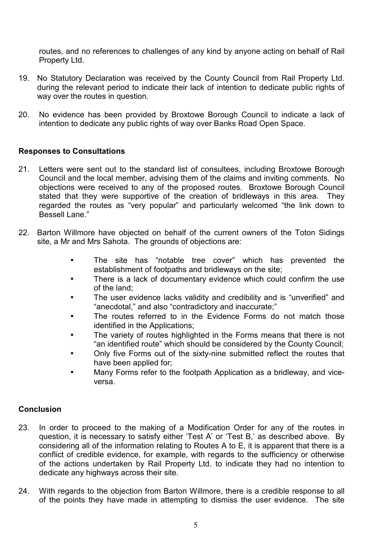routes, and no references to challenges of any kind by anyone acting on behalf of Rail Property Ltd.

- 19. No Statutory Declaration was received by the County Council from Rail Property Ltd. during the relevant period to indicate their lack of intention to dedicate public rights of way over the routes in question.
- 20. No evidence has been provided by Broxtowe Borough Council to indicate a lack of intention to dedicate any public rights of way over Banks Road Open Space.

### **Responses to Consultations**

- 21. Letters were sent out to the standard list of consultees, including Broxtowe Borough Council and the local member, advising them of the claims and inviting comments. No objections were received to any of the proposed routes. Broxtowe Borough Council stated that they were supportive of the creation of bridleways in this area. They regarded the routes as "very popular" and particularly welcomed "the link down to Bessell Lane."
- 22. Barton Willmore have objected on behalf of the current owners of the Toton Sidings site, a Mr and Mrs Sahota. The grounds of objections are:
	- The site has "notable tree cover" which has prevented the establishment of footpaths and bridleways on the site;
	- There is a lack of documentary evidence which could confirm the use of the land;
	- The user evidence lacks validity and credibility and is "unverified" and "anecdotal," and also "contradictory and inaccurate;"
	- The routes referred to in the Evidence Forms do not match those identified in the Applications;
	- The variety of routes highlighted in the Forms means that there is not "an identified route" which should be considered by the County Council;
	- Only five Forms out of the sixty-nine submitted reflect the routes that have been applied for;
	- Many Forms refer to the footpath Application as a bridleway, and viceversa.

# **Conclusion**

- 23. In order to proceed to the making of a Modification Order for any of the routes in question, it is necessary to satisfy either 'Test A' or 'Test B,' as described above. By considering all of the information relating to Routes A to E, it is apparent that there is a conflict of credible evidence, for example, with regards to the sufficiency or otherwise of the actions undertaken by Rail Property Ltd. to indicate they had no intention to dedicate any highways across their site.
- 24. With regards to the objection from Barton Willmore, there is a credible response to all of the points they have made in attempting to dismiss the user evidence. The site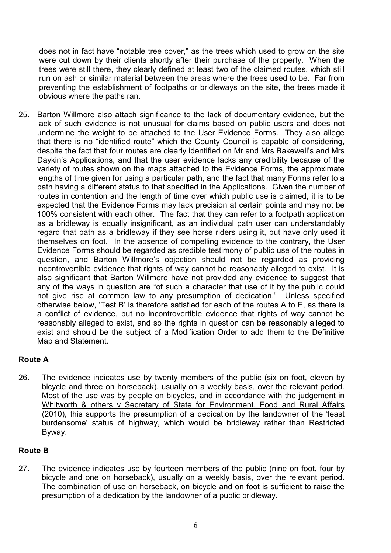does not in fact have "notable tree cover," as the trees which used to grow on the site were cut down by their clients shortly after their purchase of the property. When the trees were still there, they clearly defined at least two of the claimed routes, which still run on ash or similar material between the areas where the trees used to be. Far from preventing the establishment of footpaths or bridleways on the site, the trees made it obvious where the paths ran.

25. Barton Willmore also attach significance to the lack of documentary evidence, but the lack of such evidence is not unusual for claims based on public users and does not undermine the weight to be attached to the User Evidence Forms. They also allege that there is no "identified route" which the County Council is capable of considering, despite the fact that four routes are clearly identified on Mr and Mrs Bakewell's and Mrs Daykin's Applications, and that the user evidence lacks any credibility because of the variety of routes shown on the maps attached to the Evidence Forms, the approximate lengths of time given for using a particular path, and the fact that many Forms refer to a path having a different status to that specified in the Applications. Given the number of routes in contention and the length of time over which public use is claimed, it is to be expected that the Evidence Forms may lack precision at certain points and may not be 100% consistent with each other. The fact that they can refer to a footpath application as a bridleway is equally insignificant, as an individual path user can understandably regard that path as a bridleway if they see horse riders using it, but have only used it themselves on foot. In the absence of compelling evidence to the contrary, the User Evidence Forms should be regarded as credible testimony of public use of the routes in question, and Barton Willmore's objection should not be regarded as providing incontrovertible evidence that rights of way cannot be reasonably alleged to exist. It is also significant that Barton Willmore have not provided any evidence to suggest that any of the ways in question are "of such a character that use of it by the public could not give rise at common law to any presumption of dedication." Unless specified otherwise below, 'Test B' is therefore satisfied for each of the routes A to E, as there is a conflict of evidence, but no incontrovertible evidence that rights of way cannot be reasonably alleged to exist, and so the rights in question can be reasonably alleged to exist and should be the subject of a Modification Order to add them to the Definitive Map and Statement.

# **Route A**

26. The evidence indicates use by twenty members of the public (six on foot, eleven by bicycle and three on horseback), usually on a weekly basis, over the relevant period. Most of the use was by people on bicycles, and in accordance with the judgement in Whitworth & others v Secretary of State for Environment, Food and Rural Affairs (2010), this supports the presumption of a dedication by the landowner of the 'least burdensome' status of highway, which would be bridleway rather than Restricted Byway.

# **Route B**

27. The evidence indicates use by fourteen members of the public (nine on foot, four by bicycle and one on horseback), usually on a weekly basis, over the relevant period. The combination of use on horseback, on bicycle and on foot is sufficient to raise the presumption of a dedication by the landowner of a public bridleway.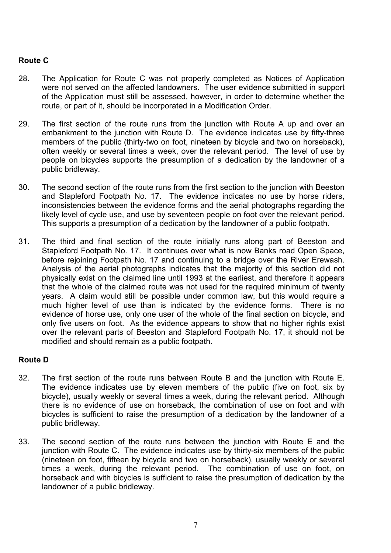# **Route C**

- 28. The Application for Route C was not properly completed as Notices of Application were not served on the affected landowners. The user evidence submitted in support of the Application must still be assessed, however, in order to determine whether the route, or part of it, should be incorporated in a Modification Order.
- 29. The first section of the route runs from the junction with Route A up and over an embankment to the junction with Route D. The evidence indicates use by fifty-three members of the public (thirty-two on foot, nineteen by bicycle and two on horseback), often weekly or several times a week, over the relevant period. The level of use by people on bicycles supports the presumption of a dedication by the landowner of a public bridleway.
- 30. The second section of the route runs from the first section to the junction with Beeston and Stapleford Footpath No. 17. The evidence indicates no use by horse riders, inconsistencies between the evidence forms and the aerial photographs regarding the likely level of cycle use, and use by seventeen people on foot over the relevant period. This supports a presumption of a dedication by the landowner of a public footpath.
- 31. The third and final section of the route initially runs along part of Beeston and Stapleford Footpath No. 17. It continues over what is now Banks road Open Space, before rejoining Footpath No. 17 and continuing to a bridge over the River Erewash. Analysis of the aerial photographs indicates that the majority of this section did not physically exist on the claimed line until 1993 at the earliest, and therefore it appears that the whole of the claimed route was not used for the required minimum of twenty years. A claim would still be possible under common law, but this would require a much higher level of use than is indicated by the evidence forms. There is no evidence of horse use, only one user of the whole of the final section on bicycle, and only five users on foot. As the evidence appears to show that no higher rights exist over the relevant parts of Beeston and Stapleford Footpath No. 17, it should not be modified and should remain as a public footpath.

### **Route D**

- 32. The first section of the route runs between Route B and the junction with Route E. The evidence indicates use by eleven members of the public (five on foot, six by bicycle), usually weekly or several times a week, during the relevant period. Although there is no evidence of use on horseback, the combination of use on foot and with bicycles is sufficient to raise the presumption of a dedication by the landowner of a public bridleway.
- 33. The second section of the route runs between the junction with Route E and the junction with Route C. The evidence indicates use by thirty-six members of the public (nineteen on foot, fifteen by bicycle and two on horseback), usually weekly or several times a week, during the relevant period. The combination of use on foot, on horseback and with bicycles is sufficient to raise the presumption of dedication by the landowner of a public bridleway.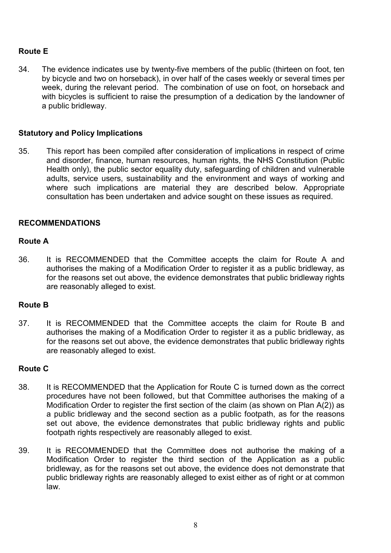# **Route E**

34. The evidence indicates use by twenty-five members of the public (thirteen on foot, ten by bicycle and two on horseback), in over half of the cases weekly or several times per week, during the relevant period. The combination of use on foot, on horseback and with bicycles is sufficient to raise the presumption of a dedication by the landowner of a public bridleway.

## **Statutory and Policy Implications**

35. This report has been compiled after consideration of implications in respect of crime and disorder, finance, human resources, human rights, the NHS Constitution (Public Health only), the public sector equality duty, safeguarding of children and vulnerable adults, service users, sustainability and the environment and ways of working and where such implications are material they are described below. Appropriate consultation has been undertaken and advice sought on these issues as required.

### **RECOMMENDATIONS**

### **Route A**

36. It is RECOMMENDED that the Committee accepts the claim for Route A and authorises the making of a Modification Order to register it as a public bridleway, as for the reasons set out above, the evidence demonstrates that public bridleway rights are reasonably alleged to exist.

### **Route B**

37. It is RECOMMENDED that the Committee accepts the claim for Route B and authorises the making of a Modification Order to register it as a public bridleway, as for the reasons set out above, the evidence demonstrates that public bridleway rights are reasonably alleged to exist.

### **Route C**

- 38. It is RECOMMENDED that the Application for Route C is turned down as the correct procedures have not been followed, but that Committee authorises the making of a Modification Order to register the first section of the claim (as shown on Plan A(2)) as a public bridleway and the second section as a public footpath, as for the reasons set out above, the evidence demonstrates that public bridleway rights and public footpath rights respectively are reasonably alleged to exist.
- 39. It is RECOMMENDED that the Committee does not authorise the making of a Modification Order to register the third section of the Application as a public bridleway, as for the reasons set out above, the evidence does not demonstrate that public bridleway rights are reasonably alleged to exist either as of right or at common law.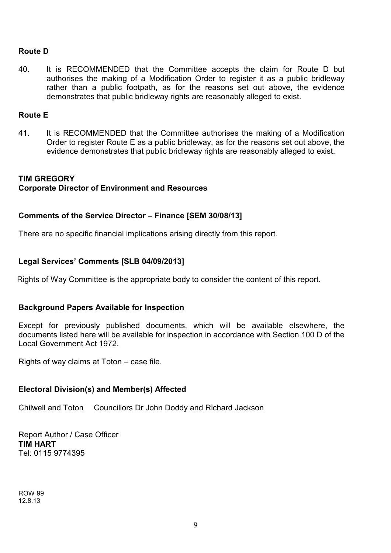### **Route D**

40. It is RECOMMENDED that the Committee accepts the claim for Route D but authorises the making of a Modification Order to register it as a public bridleway rather than a public footpath, as for the reasons set out above, the evidence demonstrates that public bridleway rights are reasonably alleged to exist.

### **Route E**

41. It is RECOMMENDED that the Committee authorises the making of a Modification Order to register Route E as a public bridleway, as for the reasons set out above, the evidence demonstrates that public bridleway rights are reasonably alleged to exist.

# **TIM GREGORY Corporate Director of Environment and Resources**

### **Comments of the Service Director – Finance [SEM 30/08/13]**

There are no specific financial implications arising directly from this report.

# **Legal Services' Comments [SLB 04/09/2013]**

Rights of Way Committee is the appropriate body to consider the content of this report.

### **Background Papers Available for Inspection**

Except for previously published documents, which will be available elsewhere, the documents listed here will be available for inspection in accordance with Section 100 D of the Local Government Act 1972.

Rights of way claims at Toton – case file.

### **Electoral Division(s) and Member(s) Affected**

Chilwell and Toton Councillors Dr John Doddy and Richard Jackson

Report Author / Case Officer **TIM HART**  Tel: 0115 9774395

ROW 99 12.8.13